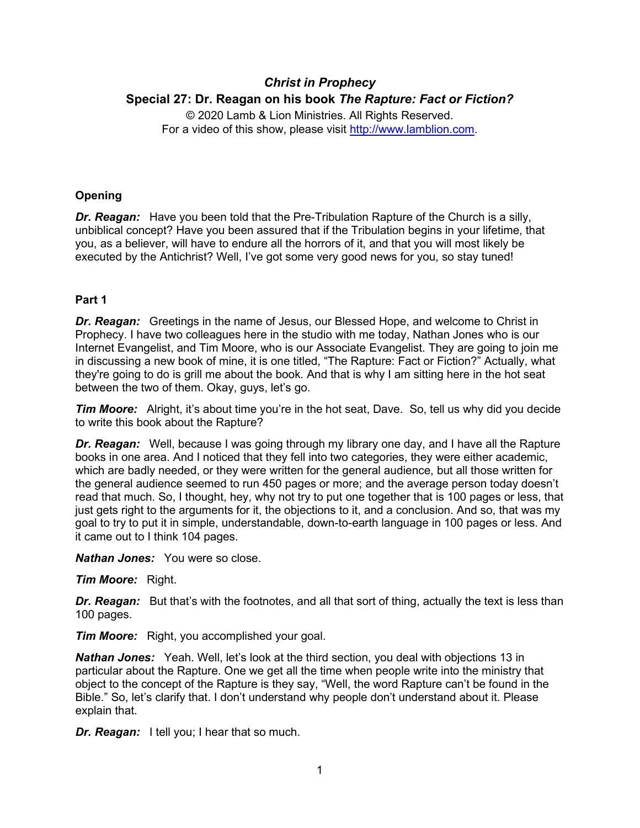# *Christ in Prophecy* **Special 27: Dr. Reagan on his book** *The Rapture: Fact or Fiction?*

© 2020 Lamb & Lion Ministries. All Rights Reserved. For a video of this show, please visit [http://www.lamblion.com.](http://www.lamblion.com/)

## **Opening**

*Dr. Reagan:* Have you been told that the Pre-Tribulation Rapture of the Church is a silly, unbiblical concept? Have you been assured that if the Tribulation begins in your lifetime, that you, as a believer, will have to endure all the horrors of it, and that you will most likely be executed by the Antichrist? Well, I've got some very good news for you, so stay tuned!

## **Part 1**

*Dr. Reagan:* Greetings in the name of Jesus, our Blessed Hope, and welcome to Christ in Prophecy. I have two colleagues here in the studio with me today, Nathan Jones who is our Internet Evangelist, and Tim Moore, who is our Associate Evangelist. They are going to join me in discussing a new book of mine, it is one titled, "The Rapture: Fact or Fiction?" Actually, what they're going to do is grill me about the book. And that is why I am sitting here in the hot seat between the two of them. Okay, guys, let's go.

*Tim Moore:* Alright, it's about time you're in the hot seat, Dave. So, tell us why did you decide to write this book about the Rapture?

*Dr. Reagan:* Well, because I was going through my library one day, and I have all the Rapture books in one area. And I noticed that they fell into two categories, they were either academic, which are badly needed, or they were written for the general audience, but all those written for the general audience seemed to run 450 pages or more; and the average person today doesn't read that much. So, I thought, hey, why not try to put one together that is 100 pages or less, that just gets right to the arguments for it, the objections to it, and a conclusion. And so, that was my goal to try to put it in simple, understandable, down-to-earth language in 100 pages or less. And it came out to I think 104 pages.

*Nathan Jones:* You were so close.

*Tim Moore:* Right.

*Dr. Reagan:* But that's with the footnotes, and all that sort of thing, actually the text is less than 100 pages.

*Tim Moore:* Right, you accomplished your goal.

*Nathan Jones:* Yeah. Well, let's look at the third section, you deal with objections 13 in particular about the Rapture. One we get all the time when people write into the ministry that object to the concept of the Rapture is they say, "Well, the word Rapture can't be found in the Bible." So, let's clarify that. I don't understand why people don't understand about it. Please explain that.

*Dr. Reagan:* I tell you; I hear that so much.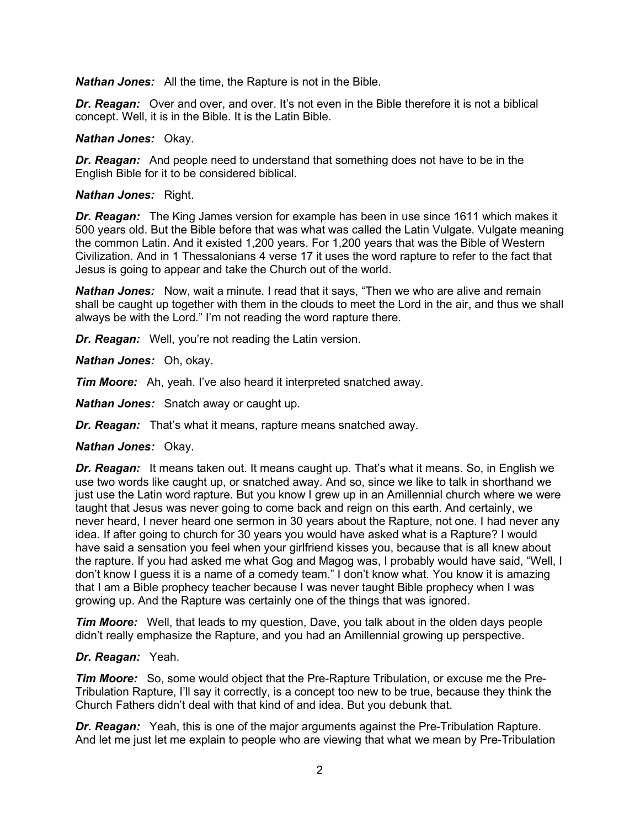*Nathan Jones:* All the time, the Rapture is not in the Bible.

**Dr. Reagan:** Over and over, and over. It's not even in the Bible therefore it is not a biblical concept. Well, it is in the Bible. It is the Latin Bible.

#### *Nathan Jones:* Okay.

*Dr. Reagan:* And people need to understand that something does not have to be in the English Bible for it to be considered biblical.

#### *Nathan Jones:* Right.

*Dr. Reagan:* The King James version for example has been in use since 1611 which makes it 500 years old. But the Bible before that was what was called the Latin Vulgate. Vulgate meaning the common Latin. And it existed 1,200 years. For 1,200 years that was the Bible of Western Civilization. And in 1 Thessalonians 4 verse 17 it uses the word rapture to refer to the fact that Jesus is going to appear and take the Church out of the world.

*Nathan Jones:* Now, wait a minute. I read that it says, "Then we who are alive and remain shall be caught up together with them in the clouds to meet the Lord in the air, and thus we shall always be with the Lord." I'm not reading the word rapture there.

*Dr. Reagan:* Well, you're not reading the Latin version.

*Nathan Jones:* Oh, okay.

*Tim Moore:* Ah, yeah. I've also heard it interpreted snatched away.

*Nathan Jones:* Snatch away or caught up.

*Dr. Reagan:* That's what it means, rapture means snatched away.

#### *Nathan Jones:* Okay.

*Dr. Reagan:* It means taken out. It means caught up. That's what it means. So, in English we use two words like caught up, or snatched away. And so, since we like to talk in shorthand we just use the Latin word rapture. But you know I grew up in an Amillennial church where we were taught that Jesus was never going to come back and reign on this earth. And certainly, we never heard, I never heard one sermon in 30 years about the Rapture, not one. I had never any idea. If after going to church for 30 years you would have asked what is a Rapture? I would have said a sensation you feel when your girlfriend kisses you, because that is all knew about the rapture. If you had asked me what Gog and Magog was, I probably would have said, "Well, I don't know I guess it is a name of a comedy team." I don't know what. You know it is amazing that I am a Bible prophecy teacher because I was never taught Bible prophecy when I was growing up. And the Rapture was certainly one of the things that was ignored.

*Tim Moore:* Well, that leads to my question, Dave, you talk about in the olden days people didn't really emphasize the Rapture, and you had an Amillennial growing up perspective.

#### *Dr. Reagan:* Yeah.

*Tim Moore:* So, some would object that the Pre-Rapture Tribulation, or excuse me the Pre-Tribulation Rapture, I'll say it correctly, is a concept too new to be true, because they think the Church Fathers didn't deal with that kind of and idea. But you debunk that.

*Dr. Reagan:* Yeah, this is one of the major arguments against the Pre-Tribulation Rapture. And let me just let me explain to people who are viewing that what we mean by Pre-Tribulation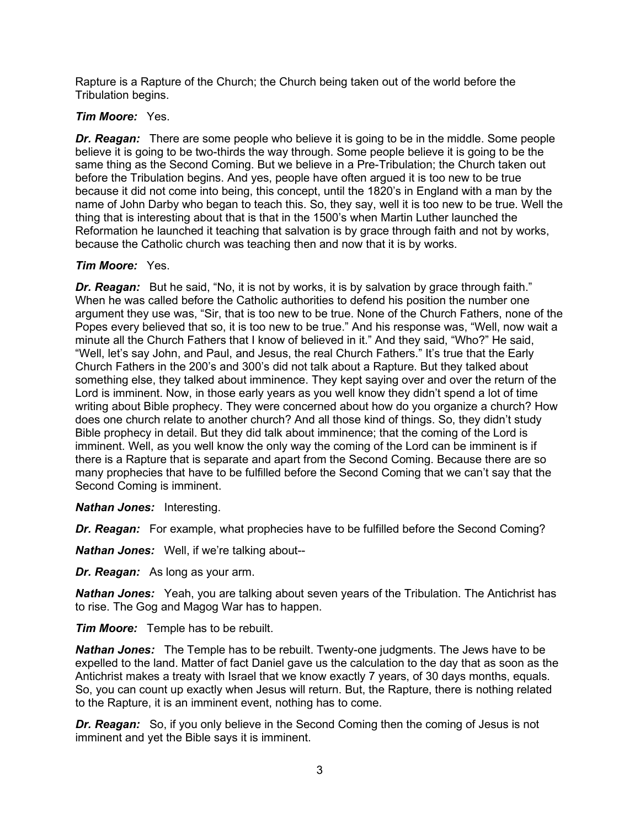Rapture is a Rapture of the Church; the Church being taken out of the world before the Tribulation begins.

## *Tim Moore:* Yes.

*Dr. Reagan:* There are some people who believe it is going to be in the middle. Some people believe it is going to be two-thirds the way through. Some people believe it is going to be the same thing as the Second Coming. But we believe in a Pre-Tribulation; the Church taken out before the Tribulation begins. And yes, people have often argued it is too new to be true because it did not come into being, this concept, until the 1820's in England with a man by the name of John Darby who began to teach this. So, they say, well it is too new to be true. Well the thing that is interesting about that is that in the 1500's when Martin Luther launched the Reformation he launched it teaching that salvation is by grace through faith and not by works, because the Catholic church was teaching then and now that it is by works.

## *Tim Moore:* Yes.

**Dr. Reagan:** But he said, "No, it is not by works, it is by salvation by grace through faith." When he was called before the Catholic authorities to defend his position the number one argument they use was, "Sir, that is too new to be true. None of the Church Fathers, none of the Popes every believed that so, it is too new to be true." And his response was, "Well, now wait a minute all the Church Fathers that I know of believed in it." And they said, "Who?" He said, "Well, let's say John, and Paul, and Jesus, the real Church Fathers." It's true that the Early Church Fathers in the 200's and 300's did not talk about a Rapture. But they talked about something else, they talked about imminence. They kept saying over and over the return of the Lord is imminent. Now, in those early years as you well know they didn't spend a lot of time writing about Bible prophecy. They were concerned about how do you organize a church? How does one church relate to another church? And all those kind of things. So, they didn't study Bible prophecy in detail. But they did talk about imminence; that the coming of the Lord is imminent. Well, as you well know the only way the coming of the Lord can be imminent is if there is a Rapture that is separate and apart from the Second Coming. Because there are so many prophecies that have to be fulfilled before the Second Coming that we can't say that the Second Coming is imminent.

*Nathan Jones:* Interesting.

*Dr. Reagan:* For example, what prophecies have to be fulfilled before the Second Coming?

*Nathan Jones:* Well, if we're talking about--

*Dr. Reagan:* As long as your arm.

*Nathan Jones:* Yeah, you are talking about seven years of the Tribulation. The Antichrist has to rise. The Gog and Magog War has to happen.

*Tim Moore:* Temple has to be rebuilt.

*Nathan Jones:* The Temple has to be rebuilt. Twenty-one judgments. The Jews have to be expelled to the land. Matter of fact Daniel gave us the calculation to the day that as soon as the Antichrist makes a treaty with Israel that we know exactly 7 years, of 30 days months, equals. So, you can count up exactly when Jesus will return. But, the Rapture, there is nothing related to the Rapture, it is an imminent event, nothing has to come.

*Dr. Reagan:* So, if you only believe in the Second Coming then the coming of Jesus is not imminent and yet the Bible says it is imminent.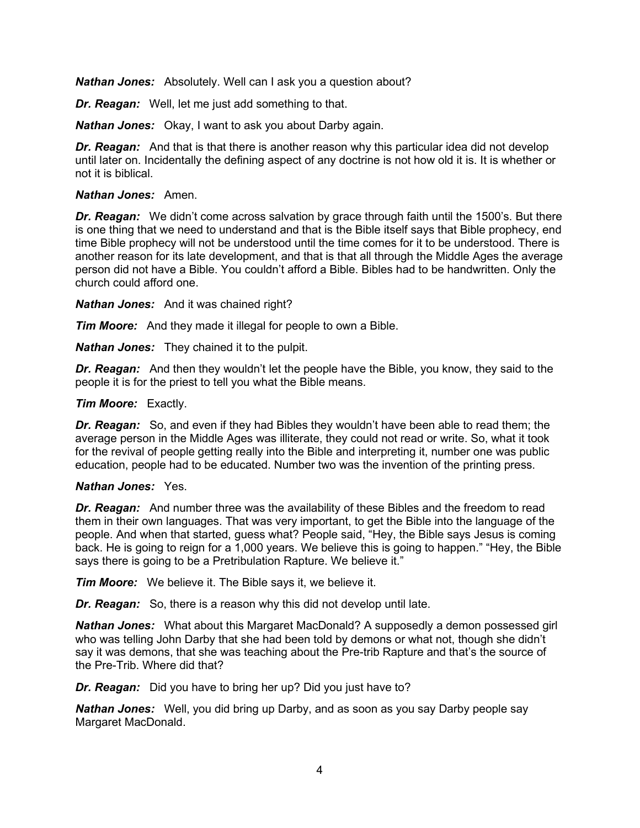*Nathan Jones:* Absolutely. Well can I ask you a question about?

*Dr. Reagan:* Well, let me just add something to that.

*Nathan Jones:* Okay, I want to ask you about Darby again.

*Dr. Reagan:* And that is that there is another reason why this particular idea did not develop until later on. Incidentally the defining aspect of any doctrine is not how old it is. It is whether or not it is biblical.

## *Nathan Jones:* Amen.

*Dr. Reagan:* We didn't come across salvation by grace through faith until the 1500's. But there is one thing that we need to understand and that is the Bible itself says that Bible prophecy, end time Bible prophecy will not be understood until the time comes for it to be understood. There is another reason for its late development, and that is that all through the Middle Ages the average person did not have a Bible. You couldn't afford a Bible. Bibles had to be handwritten. Only the church could afford one.

*Nathan Jones:* And it was chained right?

*Tim Moore:* And they made it illegal for people to own a Bible.

*Nathan Jones:* They chained it to the pulpit.

*Dr. Reagan:* And then they wouldn't let the people have the Bible, you know, they said to the people it is for the priest to tell you what the Bible means.

## *Tim Moore:* Exactly.

*Dr. Reagan:* So, and even if they had Bibles they wouldn't have been able to read them; the average person in the Middle Ages was illiterate, they could not read or write. So, what it took for the revival of people getting really into the Bible and interpreting it, number one was public education, people had to be educated. Number two was the invention of the printing press.

#### *Nathan Jones:* Yes.

*Dr. Reagan:* And number three was the availability of these Bibles and the freedom to read them in their own languages. That was very important, to get the Bible into the language of the people. And when that started, guess what? People said, "Hey, the Bible says Jesus is coming back. He is going to reign for a 1,000 years. We believe this is going to happen." "Hey, the Bible says there is going to be a Pretribulation Rapture. We believe it."

*Tim Moore:* We believe it. The Bible says it, we believe it.

*Dr. Reagan:* So, there is a reason why this did not develop until late.

*Nathan Jones:* What about this Margaret MacDonald? A supposedly a demon possessed girl who was telling John Darby that she had been told by demons or what not, though she didn't say it was demons, that she was teaching about the Pre-trib Rapture and that's the source of the Pre-Trib. Where did that?

*Dr. Reagan:* Did you have to bring her up? Did you just have to?

*Nathan Jones:* Well, you did bring up Darby, and as soon as you say Darby people say Margaret MacDonald.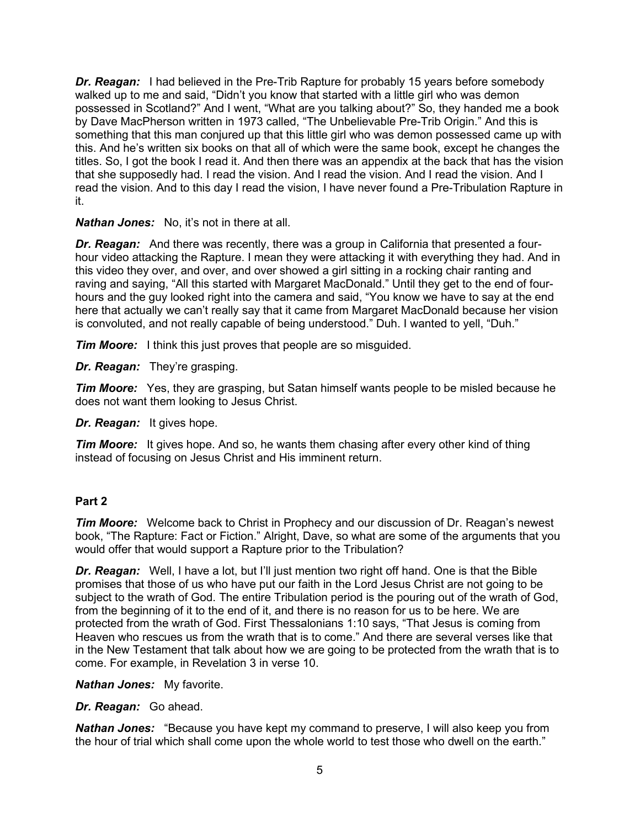*Dr. Reagan:* I had believed in the Pre-Trib Rapture for probably 15 years before somebody walked up to me and said, "Didn't you know that started with a little girl who was demon possessed in Scotland?" And I went, "What are you talking about?" So, they handed me a book by Dave MacPherson written in 1973 called, "The Unbelievable Pre-Trib Origin." And this is something that this man conjured up that this little girl who was demon possessed came up with this. And he's written six books on that all of which were the same book, except he changes the titles. So, I got the book I read it. And then there was an appendix at the back that has the vision that she supposedly had. I read the vision. And I read the vision. And I read the vision. And I read the vision. And to this day I read the vision, I have never found a Pre-Tribulation Rapture in it.

## *Nathan Jones:* No, it's not in there at all.

*Dr. Reagan:* And there was recently, there was a group in California that presented a fourhour video attacking the Rapture. I mean they were attacking it with everything they had. And in this video they over, and over, and over showed a girl sitting in a rocking chair ranting and raving and saying, "All this started with Margaret MacDonald." Until they get to the end of fourhours and the guy looked right into the camera and said, "You know we have to say at the end here that actually we can't really say that it came from Margaret MacDonald because her vision is convoluted, and not really capable of being understood." Duh. I wanted to yell, "Duh."

*Tim Moore:* I think this just proves that people are so misquided.

*Dr. Reagan:* They're grasping.

*Tim Moore:* Yes, they are grasping, but Satan himself wants people to be misled because he does not want them looking to Jesus Christ.

*Dr. Reagan:* It gives hope.

*Tim Moore:* It gives hope. And so, he wants them chasing after every other kind of thing instead of focusing on Jesus Christ and His imminent return.

## **Part 2**

*Tim Moore:* Welcome back to Christ in Prophecy and our discussion of Dr. Reagan's newest book, "The Rapture: Fact or Fiction." Alright, Dave, so what are some of the arguments that you would offer that would support a Rapture prior to the Tribulation?

*Dr. Reagan:* Well, I have a lot, but I'll just mention two right off hand. One is that the Bible promises that those of us who have put our faith in the Lord Jesus Christ are not going to be subject to the wrath of God. The entire Tribulation period is the pouring out of the wrath of God, from the beginning of it to the end of it, and there is no reason for us to be here. We are protected from the wrath of God. First Thessalonians 1:10 says, "That Jesus is coming from Heaven who rescues us from the wrath that is to come." And there are several verses like that in the New Testament that talk about how we are going to be protected from the wrath that is to come. For example, in Revelation 3 in verse 10.

*Nathan Jones:* My favorite.

*Dr. Reagan:* Go ahead.

*Nathan Jones:* "Because you have kept my command to preserve, I will also keep you from the hour of trial which shall come upon the whole world to test those who dwell on the earth."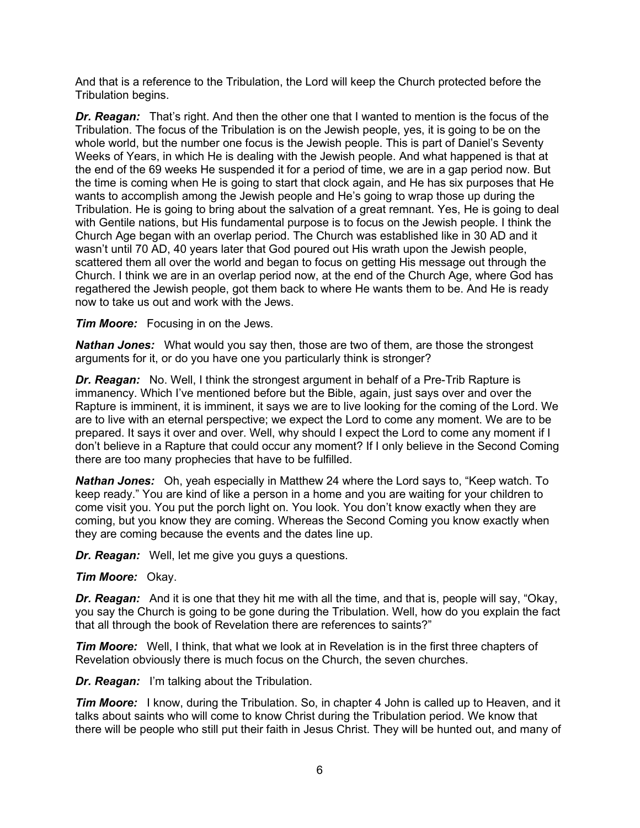And that is a reference to the Tribulation, the Lord will keep the Church protected before the Tribulation begins.

*Dr. Reagan:* That's right. And then the other one that I wanted to mention is the focus of the Tribulation. The focus of the Tribulation is on the Jewish people, yes, it is going to be on the whole world, but the number one focus is the Jewish people. This is part of Daniel's Seventy Weeks of Years, in which He is dealing with the Jewish people. And what happened is that at the end of the 69 weeks He suspended it for a period of time, we are in a gap period now. But the time is coming when He is going to start that clock again, and He has six purposes that He wants to accomplish among the Jewish people and He's going to wrap those up during the Tribulation. He is going to bring about the salvation of a great remnant. Yes, He is going to deal with Gentile nations, but His fundamental purpose is to focus on the Jewish people. I think the Church Age began with an overlap period. The Church was established like in 30 AD and it wasn't until 70 AD, 40 years later that God poured out His wrath upon the Jewish people, scattered them all over the world and began to focus on getting His message out through the Church. I think we are in an overlap period now, at the end of the Church Age, where God has regathered the Jewish people, got them back to where He wants them to be. And He is ready now to take us out and work with the Jews.

## *Tim Moore:* Focusing in on the Jews.

*Nathan Jones:* What would you say then, those are two of them, are those the strongest arguments for it, or do you have one you particularly think is stronger?

*Dr. Reagan:* No. Well, I think the strongest argument in behalf of a Pre-Trib Rapture is immanency. Which I've mentioned before but the Bible, again, just says over and over the Rapture is imminent, it is imminent, it says we are to live looking for the coming of the Lord. We are to live with an eternal perspective; we expect the Lord to come any moment. We are to be prepared. It says it over and over. Well, why should I expect the Lord to come any moment if I don't believe in a Rapture that could occur any moment? If I only believe in the Second Coming there are too many prophecies that have to be fulfilled.

*Nathan Jones:* Oh, yeah especially in Matthew 24 where the Lord says to, "Keep watch. To keep ready." You are kind of like a person in a home and you are waiting for your children to come visit you. You put the porch light on. You look. You don't know exactly when they are coming, but you know they are coming. Whereas the Second Coming you know exactly when they are coming because the events and the dates line up.

*Dr. Reagan:* Well, let me give you guys a questions.

#### *Tim Moore:* Okay.

*Dr. Reagan:* And it is one that they hit me with all the time, and that is, people will say, "Okay, you say the Church is going to be gone during the Tribulation. Well, how do you explain the fact that all through the book of Revelation there are references to saints?"

*Tim Moore:* Well, I think, that what we look at in Revelation is in the first three chapters of Revelation obviously there is much focus on the Church, the seven churches.

*Dr. Reagan:* I'm talking about the Tribulation.

*Tim Moore:* I know, during the Tribulation. So, in chapter 4 John is called up to Heaven, and it talks about saints who will come to know Christ during the Tribulation period. We know that there will be people who still put their faith in Jesus Christ. They will be hunted out, and many of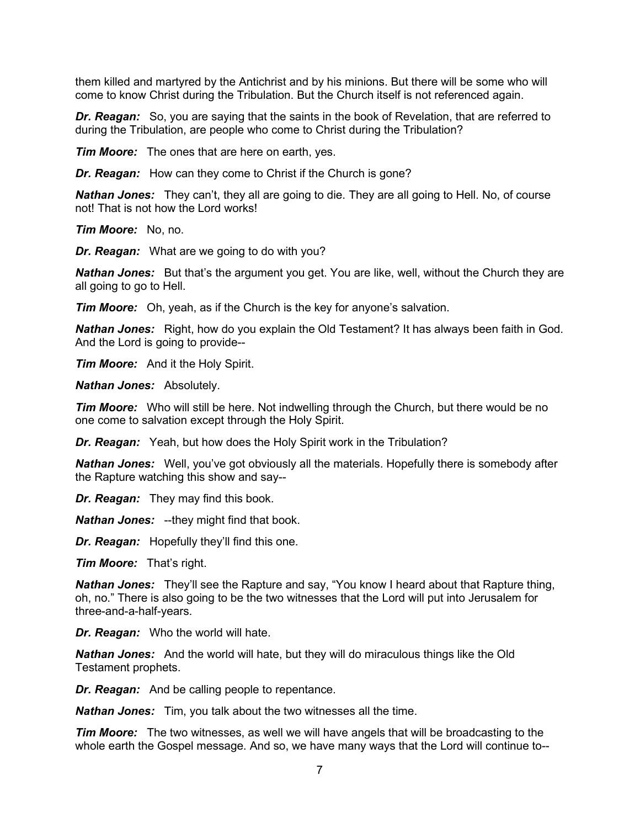them killed and martyred by the Antichrist and by his minions. But there will be some who will come to know Christ during the Tribulation. But the Church itself is not referenced again.

*Dr. Reagan:* So, you are saying that the saints in the book of Revelation, that are referred to during the Tribulation, are people who come to Christ during the Tribulation?

*Tim Moore:* The ones that are here on earth, yes.

*Dr. Reagan:* How can they come to Christ if the Church is gone?

*Nathan Jones:* They can't, they all are going to die. They are all going to Hell. No, of course not! That is not how the Lord works!

*Tim Moore:* No, no.

*Dr. Reagan:* What are we going to do with you?

*Nathan Jones:* But that's the argument you get. You are like, well, without the Church they are all going to go to Hell.

*Tim Moore:* Oh, yeah, as if the Church is the key for anyone's salvation.

*Nathan Jones:* Right, how do you explain the Old Testament? It has always been faith in God. And the Lord is going to provide--

*Tim Moore:* And it the Holy Spirit.

*Nathan Jones:* Absolutely.

*Tim Moore:* Who will still be here. Not indwelling through the Church, but there would be no one come to salvation except through the Holy Spirit.

*Dr. Reagan:* Yeah, but how does the Holy Spirit work in the Tribulation?

*Nathan Jones:* Well, you've got obviously all the materials. Hopefully there is somebody after the Rapture watching this show and say--

*Dr. Reagan:* They may find this book.

*Nathan Jones:* --they might find that book.

*Dr. Reagan:* Hopefully they'll find this one.

*Tim Moore:* That's right.

*Nathan Jones:* They'll see the Rapture and say, "You know I heard about that Rapture thing, oh, no." There is also going to be the two witnesses that the Lord will put into Jerusalem for three-and-a-half-years.

*Dr. Reagan:* Who the world will hate.

*Nathan Jones:* And the world will hate, but they will do miraculous things like the Old Testament prophets.

*Dr. Reagan:* And be calling people to repentance.

*Nathan Jones:* Tim, you talk about the two witnesses all the time.

*Tim Moore:* The two witnesses, as well we will have angels that will be broadcasting to the whole earth the Gospel message. And so, we have many ways that the Lord will continue to--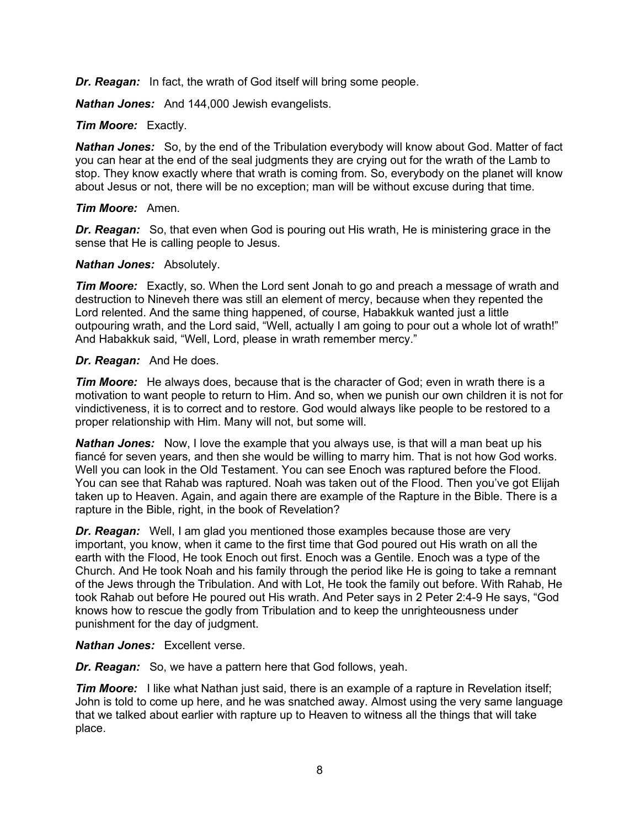*Dr. Reagan:* In fact, the wrath of God itself will bring some people.

*Nathan Jones:* And 144,000 Jewish evangelists.

## *Tim Moore:* Exactly.

*Nathan Jones:* So, by the end of the Tribulation everybody will know about God. Matter of fact you can hear at the end of the seal judgments they are crying out for the wrath of the Lamb to stop. They know exactly where that wrath is coming from. So, everybody on the planet will know about Jesus or not, there will be no exception; man will be without excuse during that time.

#### *Tim Moore:* Amen.

**Dr. Reagan:** So, that even when God is pouring out His wrath, He is ministering grace in the sense that He is calling people to Jesus.

## *Nathan Jones:* Absolutely.

*Tim Moore:* Exactly, so. When the Lord sent Jonah to go and preach a message of wrath and destruction to Nineveh there was still an element of mercy, because when they repented the Lord relented. And the same thing happened, of course, Habakkuk wanted just a little outpouring wrath, and the Lord said, "Well, actually I am going to pour out a whole lot of wrath!" And Habakkuk said, "Well, Lord, please in wrath remember mercy."

## *Dr. Reagan:* And He does.

*Tim Moore:* He always does, because that is the character of God; even in wrath there is a motivation to want people to return to Him. And so, when we punish our own children it is not for vindictiveness, it is to correct and to restore. God would always like people to be restored to a proper relationship with Him. Many will not, but some will.

*Nathan Jones:* Now, I love the example that you always use, is that will a man beat up his fiancé for seven years, and then she would be willing to marry him. That is not how God works. Well you can look in the Old Testament. You can see Enoch was raptured before the Flood. You can see that Rahab was raptured. Noah was taken out of the Flood. Then you've got Elijah taken up to Heaven. Again, and again there are example of the Rapture in the Bible. There is a rapture in the Bible, right, in the book of Revelation?

*Dr. Reagan:* Well, I am glad you mentioned those examples because those are very important, you know, when it came to the first time that God poured out His wrath on all the earth with the Flood, He took Enoch out first. Enoch was a Gentile. Enoch was a type of the Church. And He took Noah and his family through the period like He is going to take a remnant of the Jews through the Tribulation. And with Lot, He took the family out before. With Rahab, He took Rahab out before He poured out His wrath. And Peter says in 2 Peter 2:4-9 He says, "God knows how to rescue the godly from Tribulation and to keep the unrighteousness under punishment for the day of judgment.

## *Nathan Jones:* Excellent verse.

*Dr. Reagan:* So, we have a pattern here that God follows, yeah.

**Tim Moore:** I like what Nathan just said, there is an example of a rapture in Revelation itself; John is told to come up here, and he was snatched away. Almost using the very same language that we talked about earlier with rapture up to Heaven to witness all the things that will take place.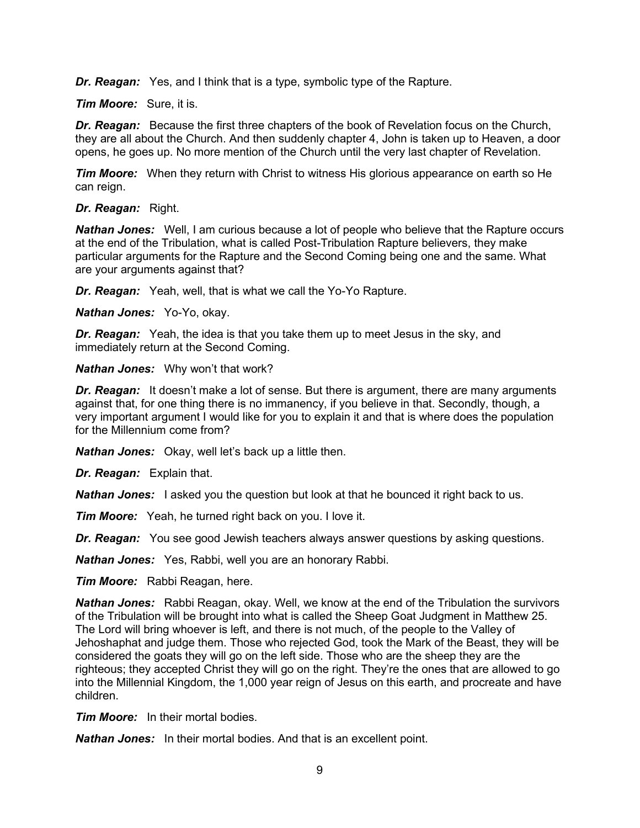*Dr. Reagan:* Yes, and I think that is a type, symbolic type of the Rapture.

*Tim Moore:* Sure, it is.

*Dr. Reagan:* Because the first three chapters of the book of Revelation focus on the Church, they are all about the Church. And then suddenly chapter 4, John is taken up to Heaven, a door opens, he goes up. No more mention of the Church until the very last chapter of Revelation.

*Tim Moore:* When they return with Christ to witness His glorious appearance on earth so He can reign.

*Dr. Reagan:* Right.

*Nathan Jones:* Well, I am curious because a lot of people who believe that the Rapture occurs at the end of the Tribulation, what is called Post-Tribulation Rapture believers, they make particular arguments for the Rapture and the Second Coming being one and the same. What are your arguments against that?

*Dr. Reagan:* Yeah, well, that is what we call the Yo-Yo Rapture.

*Nathan Jones:* Yo-Yo, okay.

*Dr. Reagan:* Yeah, the idea is that you take them up to meet Jesus in the sky, and immediately return at the Second Coming.

*Nathan Jones:* Why won't that work?

**Dr. Reagan:** It doesn't make a lot of sense. But there is argument, there are many arguments against that, for one thing there is no immanency, if you believe in that. Secondly, though, a very important argument I would like for you to explain it and that is where does the population for the Millennium come from?

*Nathan Jones:* Okay, well let's back up a little then.

*Dr. Reagan:* Explain that.

*Nathan Jones:* I asked you the question but look at that he bounced it right back to us.

*Tim Moore:* Yeah, he turned right back on you. I love it.

*Dr. Reagan:* You see good Jewish teachers always answer questions by asking questions.

*Nathan Jones:* Yes, Rabbi, well you are an honorary Rabbi.

*Tim Moore:* Rabbi Reagan, here.

*Nathan Jones:* Rabbi Reagan, okay. Well, we know at the end of the Tribulation the survivors of the Tribulation will be brought into what is called the Sheep Goat Judgment in Matthew 25. The Lord will bring whoever is left, and there is not much, of the people to the Valley of Jehoshaphat and judge them. Those who rejected God, took the Mark of the Beast, they will be considered the goats they will go on the left side. Those who are the sheep they are the righteous; they accepted Christ they will go on the right. They're the ones that are allowed to go into the Millennial Kingdom, the 1,000 year reign of Jesus on this earth, and procreate and have children.

*Tim Moore:* In their mortal bodies.

*Nathan Jones:* In their mortal bodies. And that is an excellent point.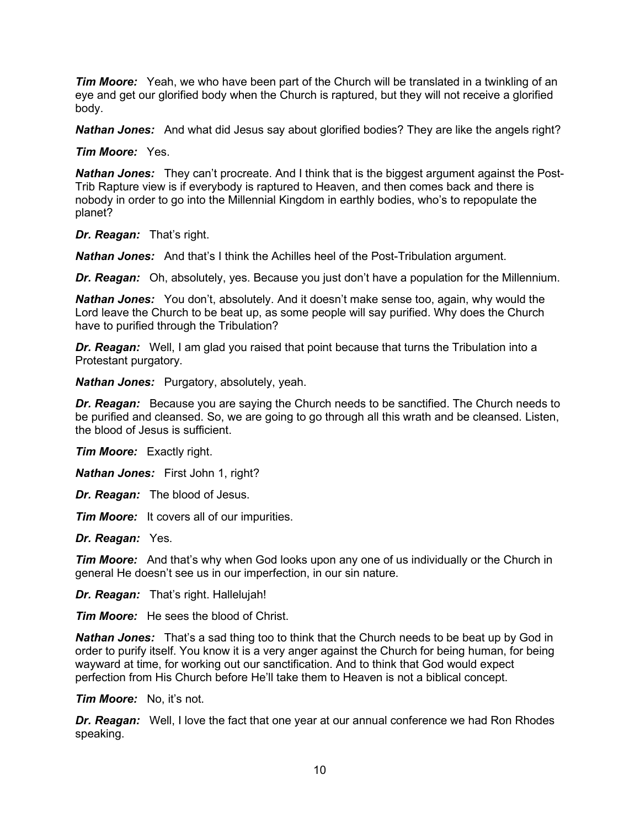*Tim Moore:* Yeah, we who have been part of the Church will be translated in a twinkling of an eye and get our glorified body when the Church is raptured, but they will not receive a glorified body.

*Nathan Jones:* And what did Jesus say about glorified bodies? They are like the angels right?

*Tim Moore:* Yes.

*Nathan Jones:* They can't procreate. And I think that is the biggest argument against the Post-Trib Rapture view is if everybody is raptured to Heaven, and then comes back and there is nobody in order to go into the Millennial Kingdom in earthly bodies, who's to repopulate the planet?

*Dr. Reagan:* That's right.

*Nathan Jones:* And that's I think the Achilles heel of the Post-Tribulation argument.

*Dr. Reagan:* Oh, absolutely, yes. Because you just don't have a population for the Millennium.

*Nathan Jones:* You don't, absolutely. And it doesn't make sense too, again, why would the Lord leave the Church to be beat up, as some people will say purified. Why does the Church have to purified through the Tribulation?

*Dr. Reagan:* Well, I am glad you raised that point because that turns the Tribulation into a Protestant purgatory.

*Nathan Jones:* Purgatory, absolutely, yeah.

*Dr. Reagan:* Because you are saying the Church needs to be sanctified. The Church needs to be purified and cleansed. So, we are going to go through all this wrath and be cleansed. Listen, the blood of Jesus is sufficient.

*Tim Moore:* Exactly right.

*Nathan Jones:* First John 1, right?

*Dr. Reagan:* The blood of Jesus.

*Tim Moore:* It covers all of our impurities.

*Dr. Reagan:* Yes.

*Tim Moore:* And that's why when God looks upon any one of us individually or the Church in general He doesn't see us in our imperfection, in our sin nature.

*Dr. Reagan:* That's right. Hallelujah!

*Tim Moore:* He sees the blood of Christ.

*Nathan Jones:* That's a sad thing too to think that the Church needs to be beat up by God in order to purify itself. You know it is a very anger against the Church for being human, for being wayward at time, for working out our sanctification. And to think that God would expect perfection from His Church before He'll take them to Heaven is not a biblical concept.

*Tim Moore:* No, it's not.

*Dr. Reagan:* Well, I love the fact that one year at our annual conference we had Ron Rhodes speaking.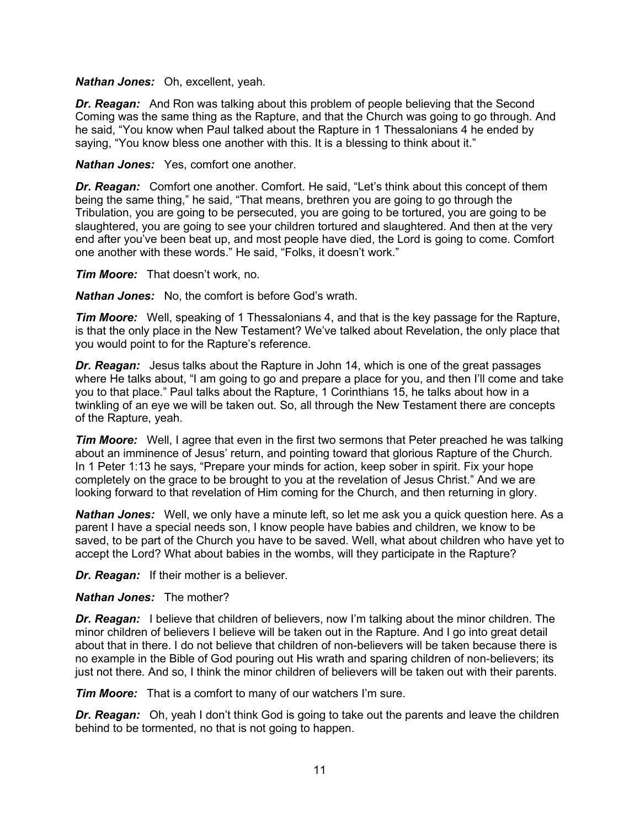#### *Nathan Jones:* Oh, excellent, yeah.

**Dr. Reagan:** And Ron was talking about this problem of people believing that the Second Coming was the same thing as the Rapture, and that the Church was going to go through. And he said, "You know when Paul talked about the Rapture in 1 Thessalonians 4 he ended by saying, "You know bless one another with this. It is a blessing to think about it."

*Nathan Jones:* Yes, comfort one another.

*Dr. Reagan:* Comfort one another. Comfort. He said, "Let's think about this concept of them being the same thing," he said, "That means, brethren you are going to go through the Tribulation, you are going to be persecuted, you are going to be tortured, you are going to be slaughtered, you are going to see your children tortured and slaughtered. And then at the very end after you've been beat up, and most people have died, the Lord is going to come. Comfort one another with these words." He said, "Folks, it doesn't work."

*Tim Moore:* That doesn't work, no.

*Nathan Jones:* No, the comfort is before God's wrath.

*Tim Moore:* Well, speaking of 1 Thessalonians 4, and that is the key passage for the Rapture, is that the only place in the New Testament? We've talked about Revelation, the only place that you would point to for the Rapture's reference.

*Dr. Reagan:* Jesus talks about the Rapture in John 14, which is one of the great passages where He talks about, "I am going to go and prepare a place for you, and then I'll come and take you to that place." Paul talks about the Rapture, 1 Corinthians 15, he talks about how in a twinkling of an eye we will be taken out. So, all through the New Testament there are concepts of the Rapture, yeah.

*Tim Moore:* Well, I agree that even in the first two sermons that Peter preached he was talking about an imminence of Jesus' return, and pointing toward that glorious Rapture of the Church. In 1 Peter 1:13 he says, "Prepare your minds for action, keep sober in spirit. Fix your hope completely on the grace to be brought to you at the revelation of Jesus Christ." And we are looking forward to that revelation of Him coming for the Church, and then returning in glory.

*Nathan Jones:* Well, we only have a minute left, so let me ask you a quick question here. As a parent I have a special needs son, I know people have babies and children, we know to be saved, to be part of the Church you have to be saved. Well, what about children who have yet to accept the Lord? What about babies in the wombs, will they participate in the Rapture?

*Dr. Reagan:* If their mother is a believer.

#### *Nathan Jones:* The mother?

*Dr. Reagan:* I believe that children of believers, now I'm talking about the minor children. The minor children of believers I believe will be taken out in the Rapture. And I go into great detail about that in there. I do not believe that children of non-believers will be taken because there is no example in the Bible of God pouring out His wrath and sparing children of non-believers; its just not there. And so, I think the minor children of believers will be taken out with their parents.

*Tim Moore:* That is a comfort to many of our watchers I'm sure.

*Dr. Reagan:* Oh, yeah I don't think God is going to take out the parents and leave the children behind to be tormented, no that is not going to happen.